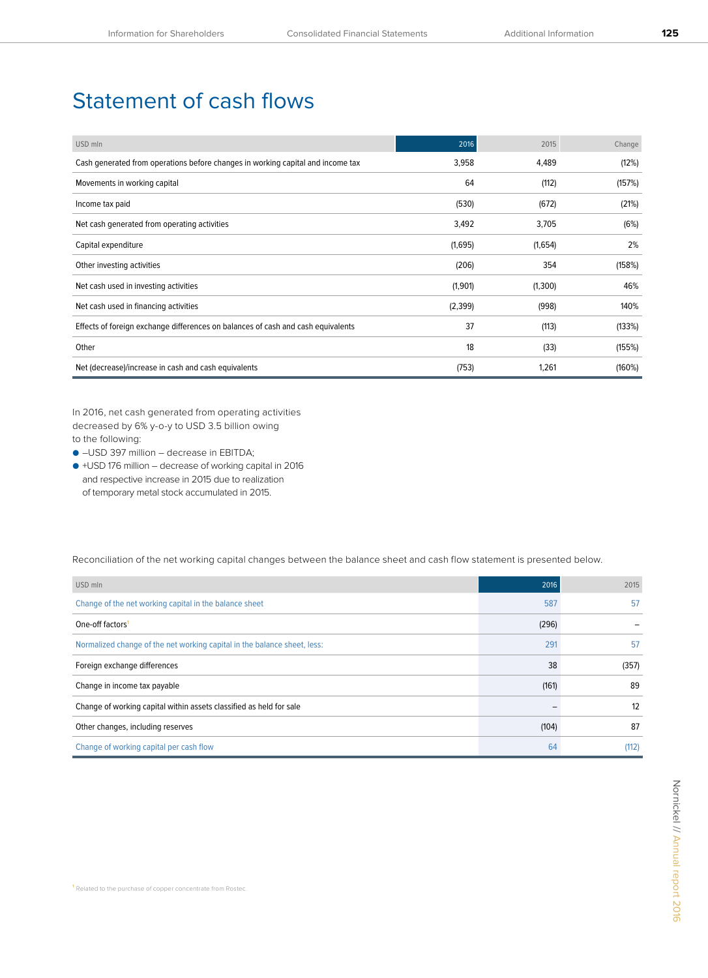## Statement of cash flows

| USD mln                                                                          | 2016    | 2015    | Change |
|----------------------------------------------------------------------------------|---------|---------|--------|
| Cash generated from operations before changes in working capital and income tax  | 3,958   | 4,489   | (12%)  |
| Movements in working capital                                                     | 64      | (112)   | (157%) |
| Income tax paid                                                                  | (530)   | (672)   | (21%)  |
| Net cash generated from operating activities                                     | 3,492   | 3,705   | (6%)   |
| Capital expenditure                                                              | (1,695) | (1,654) | 2%     |
| Other investing activities                                                       | (206)   | 354     | (158%) |
| Net cash used in investing activities                                            | (1,901) | (1,300) | 46%    |
| Net cash used in financing activities                                            | (2,399) | (998)   | 140%   |
| Effects of foreign exchange differences on balances of cash and cash equivalents | 37      | (113)   | (133%) |
| Other                                                                            | 18      | (33)    | (155%) |
| Net (decrease)/increase in cash and cash equivalents                             | (753)   | 1,261   | (160%) |

In 2016, net cash generated from operating activities decreased by 6% y-o-y to USD 3.5 billion owing to the following:

● –USD 397 million – decrease in EBITDA;

● +USD 176 million – decrease of working capital in 2016 and respective increase in 2015 due to realization of temporary metal stock accumulated in 2015.

Reconciliation of the net working capital changes between the balance sheet and cash flow statement is presented below.

| USD mln                                                                  | 2016  | 2015  |
|--------------------------------------------------------------------------|-------|-------|
| Change of the net working capital in the balance sheet                   | 587   | 57    |
| One-off factors <sup>1</sup>                                             | (296) |       |
| Normalized change of the net working capital in the balance sheet, less: | 291   | 57    |
| Foreign exchange differences                                             | 38    | (357) |
| Change in income tax payable                                             | (161) | 89    |
| Change of working capital within assets classified as held for sale      |       | 12    |
| Other changes, including reserves                                        | (104) | 87    |
| Change of working capital per cash flow                                  | 64    | (112) |